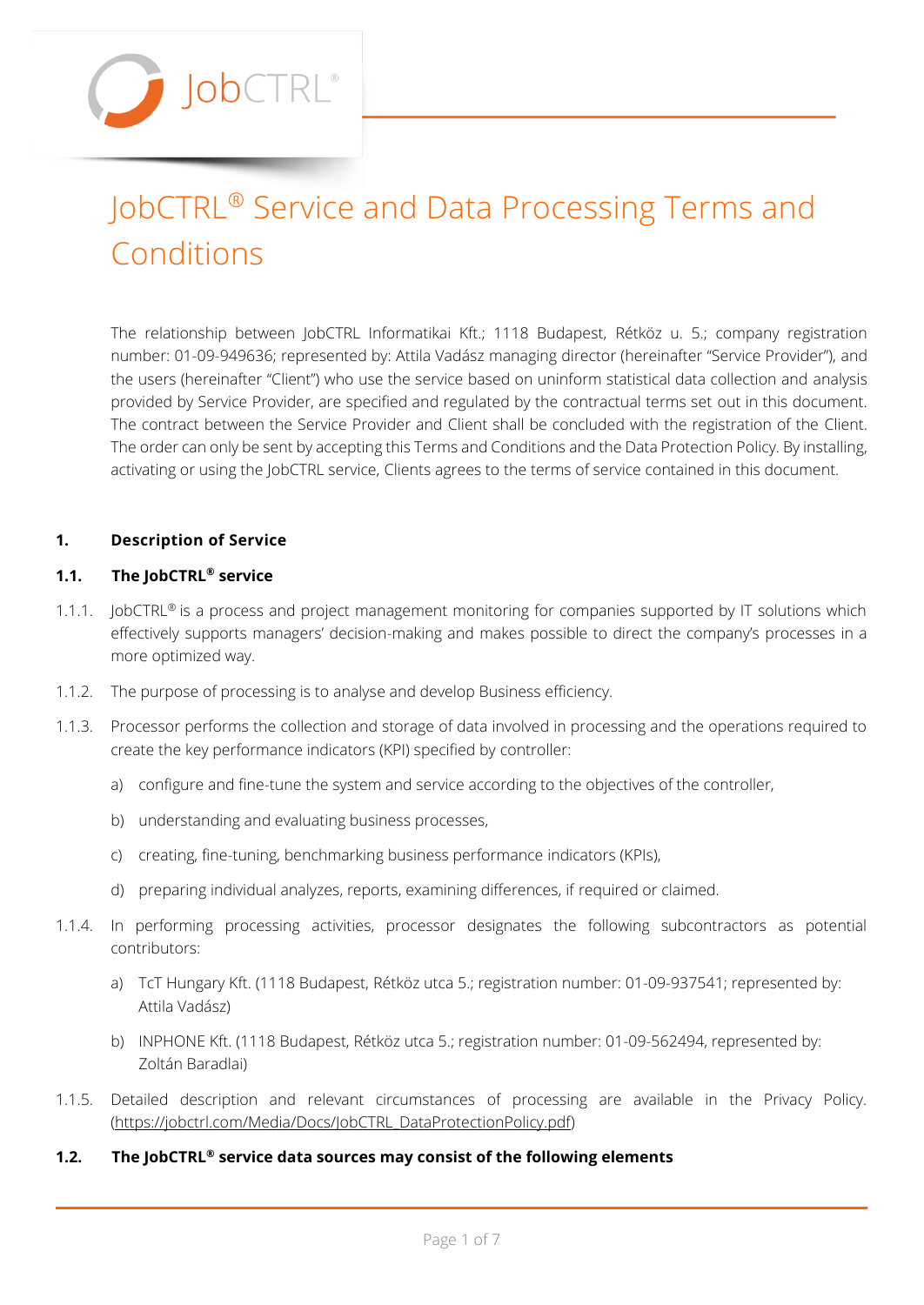

# JobCTRL® Service and Data Processing Terms and Conditions

The relationship between JobCTRL Informatikai Kft.; 1118 Budapest, Rétköz u. 5.; company registration number: 01-09-949636; represented by: Attila Vadász managing director (hereinafter "Service Provider"), and the users (hereinafter "Client") who use the service based on uninform statistical data collection and analysis provided by Service Provider, are specified and regulated by the contractual terms set out in this document. The contract between the Service Provider and Client shall be concluded with the registration of the Client. The order can only be sent by accepting this Terms and Conditions and the Data Protection Policy. By installing, activating or using the JobCTRL service, Clients agrees to the terms of service contained in this document.

# **1. Description of Service**

# **1.1. The JobCTRL® service**

- 1.1.1. JobCTRL<sup>®</sup> is a process and project management monitoring for companies supported by IT solutions which effectively supports managers' decision-making and makes possible to direct the company's processes in a more optimized way.
- 1.1.2. The purpose of processing is to analyse and develop Business efficiency.
- 1.1.3. Processor performs the collection and storage of data involved in processing and the operations required to create the key performance indicators (KPI) specified by controller:
	- a) configure and fine-tune the system and service according to the objectives of the controller,
	- b) understanding and evaluating business processes,
	- c) creating, fine-tuning, benchmarking business performance indicators (KPIs),
	- d) preparing individual analyzes, reports, examining differences, if required or claimed.
- 1.1.4. In performing processing activities, processor designates the following subcontractors as potential contributors:
	- a) TcT Hungary Kft. (1118 Budapest, Rétköz utca 5.; registration number: 01-09-937541; represented by: Attila Vadász)
	- b) INPHONE Kft. (1118 Budapest, Rétköz utca 5.; registration number: 01-09-562494, represented by: Zoltán Baradlai)
- 1.1.5. Detailed description and relevant circumstances of processing are available in the Privacy Policy. [\(https://jobctrl.com/Media/Docs/JobCTRL\\_DataProtectionPolicy.pdf\)](https://jobctrl.com/Media/Docs/JobCTRL_DataProtectionPolicy.pdf)
- **1.2. The JobCTRL® service data sources may consist of the following elements**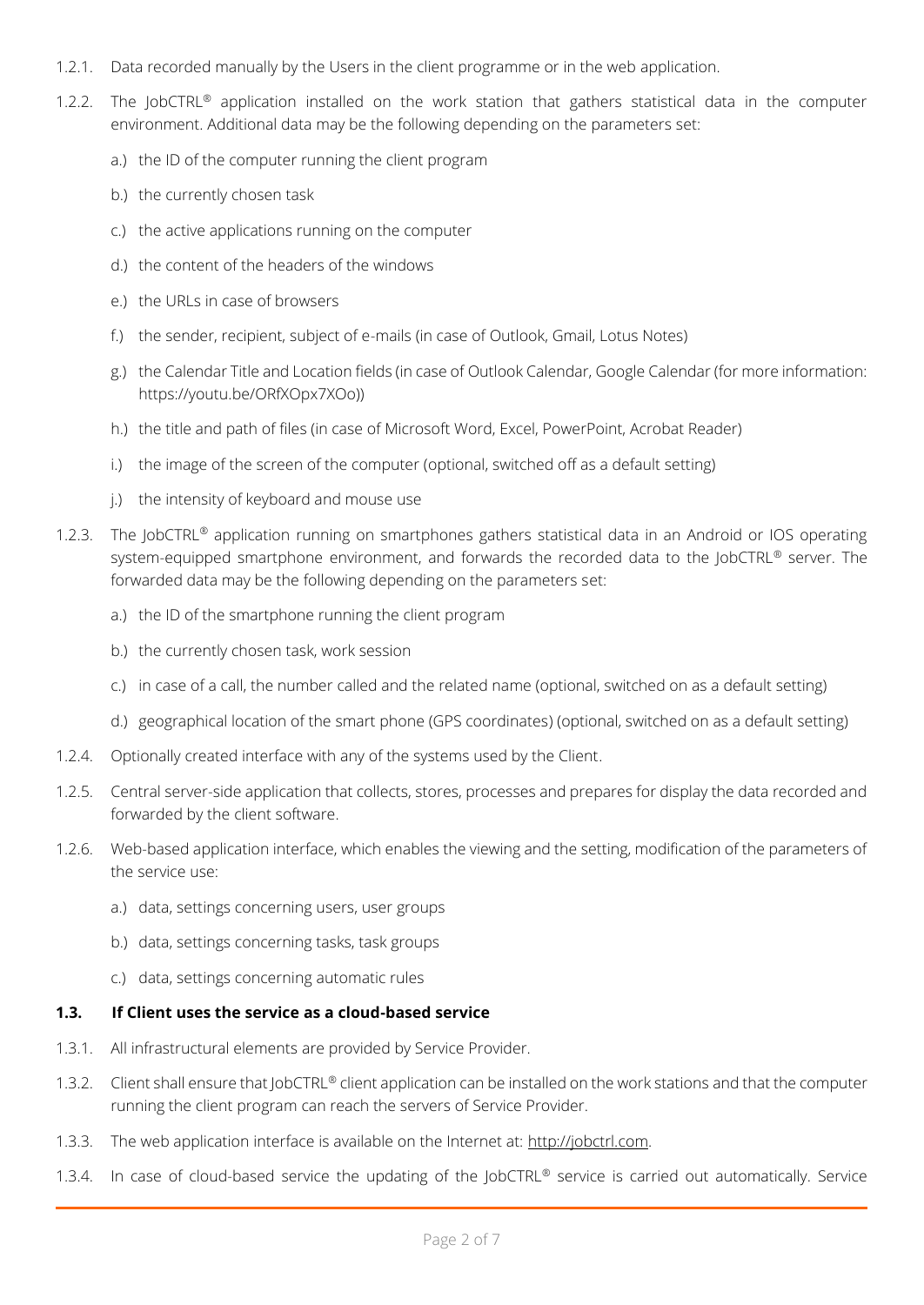- 1.2.1. Data recorded manually by the Users in the client programme or in the web application.
- 1.2.2. The JobCTRL® application installed on the work station that gathers statistical data in the computer environment. Additional data may be the following depending on the parameters set:
	- a.) the ID of the computer running the client program
	- b.) the currently chosen task
	- c.) the active applications running on the computer
	- d.) the content of the headers of the windows
	- $e$ ) the URLs in case of browsers
	- f.) the sender, recipient, subject of e-mails (in case of Outlook, Gmail, Lotus Notes)
	- g.) the Calendar Title and Location fields (in case of Outlook Calendar, Google Calendar (for more information: https://youtu.be/ORfXOpx7XOo))
	- h.) the title and path of files (in case of Microsoft Word, Excel, PowerPoint, Acrobat Reader)
	- i.) the image of the screen of the computer (optional, switched off as a default setting)
	- j.) the intensity of keyboard and mouse use
- 1.2.3. The JobCTRL<sup>®</sup> application running on smartphones gathers statistical data in an Android or IOS operating system-equipped smartphone environment, and forwards the recorded data to the JobCTRL® server. The forwarded data may be the following depending on the parameters set:
	- a.) the ID of the smartphone running the client program
	- b.) the currently chosen task, work session
	- c.) in case of a call, the number called and the related name (optional, switched on as a default setting)
	- d.) geographical location of the smart phone (GPS coordinates) (optional, switched on as a default setting)
- 1.2.4. Optionally created interface with any of the systems used by the Client.
- 1.2.5. Central server-side application that collects, stores, processes and prepares for display the data recorded and forwarded by the client software.
- 1.2.6. Web-based application interface, which enables the viewing and the setting, modification of the parameters of the service use:
	- a.) data, settings concerning users, user groups
	- b.) data, settings concerning tasks, task groups
	- c.) data, settings concerning automatic rules

# **1.3. If Client uses the service as a cloud-based service**

- 1.3.1. All infrastructural elements are provided by Service Provider.
- 1.3.2. Client shall ensure that JobCTRL® client application can be installed on the work stations and that the computer running the client program can reach the servers of Service Provider.
- 1.3.3. The web application interface is available on the Internet at: http://jobctrl.com.
- 1.3.4. In case of cloud-based service the updating of the JobCTRL® service is carried out automatically. Service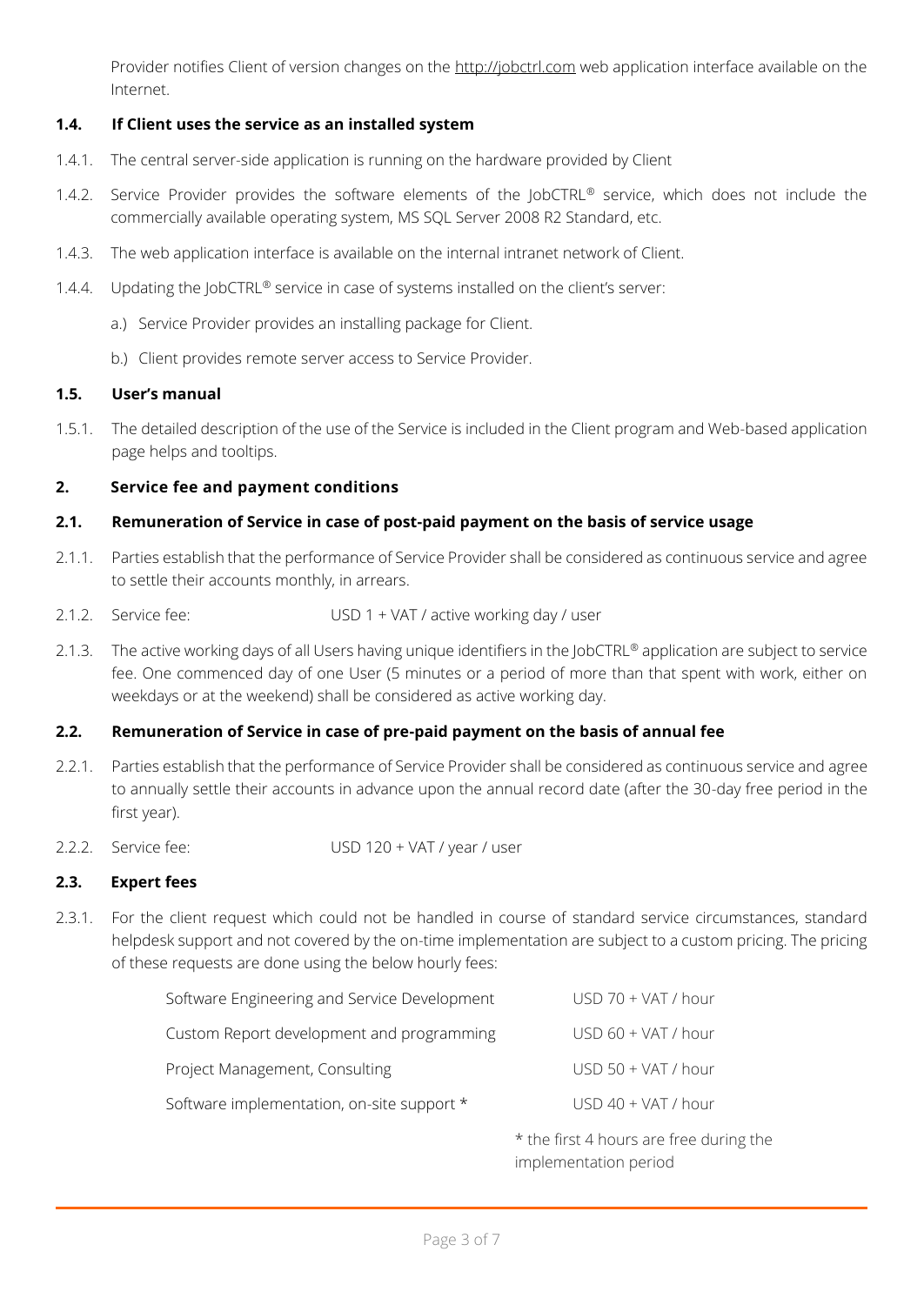Provider notifies Client of version changes on the http://jobctrl.com web application interface available on the Internet.

# **1.4. If Client uses the service as an installed system**

- 1.4.1. The central server-side application is running on the hardware provided by Client
- 1.4.2. Service Provider provides the software elements of the JobCTRL® service, which does not include the commercially available operating system, MS SQL Server 2008 R2 Standard, etc.
- 1.4.3. The web application interface is available on the internal intranet network of Client.
- 1.4.4. Updating the JobCTRL® service in case of systems installed on the client's server:
	- a.) Service Provider provides an installing package for Client.
	- b.) Client provides remote server access to Service Provider.

#### **1.5. User's manual**

1.5.1. The detailed description of the use of the Service is included in the Client program and Web-based application page helps and tooltips.

#### **2. Service fee and payment conditions**

#### **2.1. Remuneration of Service in case of post-paid payment on the basis of service usage**

- 2.1.1. Parties establish that the performance of Service Provider shall be considered as continuous service and agree to settle their accounts monthly, in arrears.
- 2.1.2. Service fee: USD 1 + VAT / active working day / user
- 2.1.3. The active working days of all Users having unique identifiers in the JobCTRL® application are subject to service fee. One commenced day of one User (5 minutes or a period of more than that spent with work, either on weekdays or at the weekend) shall be considered as active working day.

# **2.2. Remuneration of Service in case of pre-paid payment on the basis of annual fee**

- 2.2.1. Parties establish that the performance of Service Provider shall be considered as continuous service and agree to annually settle their accounts in advance upon the annual record date (after the 30-day free period in the first year).
- 2.2.2. Service fee: USD 120 + VAT / year / user

# **2.3. Expert fees**

2.3.1. For the client request which could not be handled in course of standard service circumstances, standard helpdesk support and not covered by the on-time implementation are subject to a custom pricing. The pricing of these requests are done using the below hourly fees:

| Software Engineering and Service Development | USD 70 + VAT / hour |
|----------------------------------------------|---------------------|
| Custom Report development and programming    | USD 60 + VAT / hour |
| Project Management, Consulting               | USD 50 + VAT / hour |
| Software implementation, on-site support *   | USD 40 + VAT / hour |
|                                              |                     |

\* the first 4 hours are free during the implementation period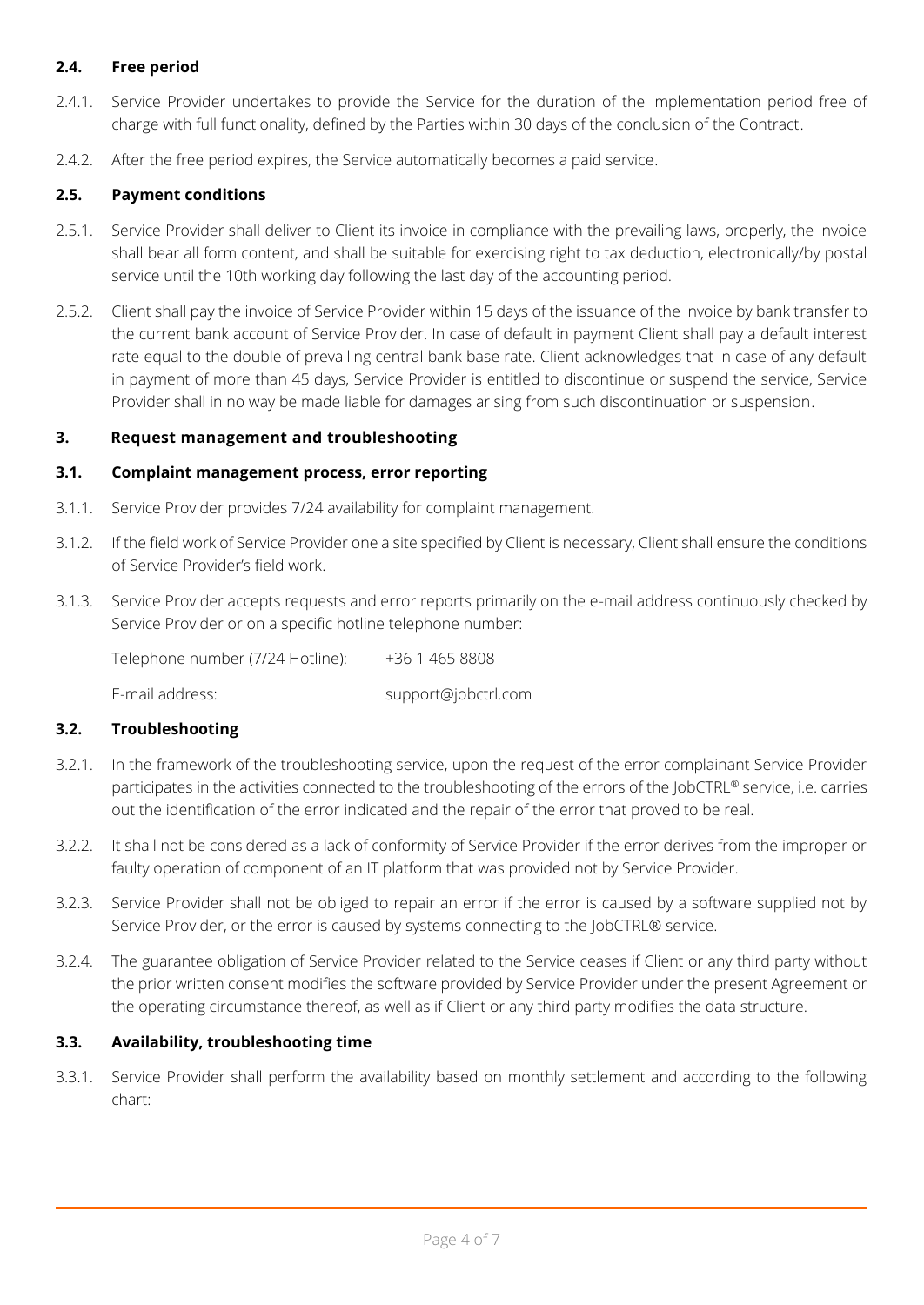# **2.4. Free period**

- 2.4.1. Service Provider undertakes to provide the Service for the duration of the implementation period free of charge with full functionality, defined by the Parties within 30 days of the conclusion of the Contract.
- 2.4.2. After the free period expires, the Service automatically becomes a paid service.

# **2.5. Payment conditions**

- 2.5.1. Service Provider shall deliver to Client its invoice in compliance with the prevailing laws, properly, the invoice shall bear all form content, and shall be suitable for exercising right to tax deduction, electronically/by postal service until the 10th working day following the last day of the accounting period.
- 2.5.2. Client shall pay the invoice of Service Provider within 15 days of the issuance of the invoice by bank transfer to the current bank account of Service Provider. In case of default in payment Client shall pay a default interest rate equal to the double of prevailing central bank base rate. Client acknowledges that in case of any default in payment of more than 45 days, Service Provider is entitled to discontinue or suspend the service, Service Provider shall in no way be made liable for damages arising from such discontinuation or suspension.

#### **3. Request management and troubleshooting**

#### **3.1. Complaint management process, error reporting**

- 3.1.1. Service Provider provides 7/24 availability for complaint management.
- 3.1.2. If the field work of Service Provider one a site specified by Client is necessary, Client shall ensure the conditions of Service Provider's field work.
- 3.1.3. Service Provider accepts requests and error reports primarily on the e-mail address continuously checked by Service Provider or on a specific hotline telephone number:

Telephone number (7/24 Hotline): +36 1 465 8808 E-mail address: support@jobctrl.com

# **3.2. Troubleshooting**

- 3.2.1. In the framework of the troubleshooting service, upon the request of the error complainant Service Provider participates in the activities connected to the troubleshooting of the errors of the JobCTRL® service, i.e. carries out the identification of the error indicated and the repair of the error that proved to be real.
- 3.2.2. It shall not be considered as a lack of conformity of Service Provider if the error derives from the improper or faulty operation of component of an IT platform that was provided not by Service Provider.
- 3.2.3. Service Provider shall not be obliged to repair an error if the error is caused by a software supplied not by Service Provider, or the error is caused by systems connecting to the JobCTRL® service.
- 3.2.4. The guarantee obligation of Service Provider related to the Service ceases if Client or any third party without the prior written consent modifies the software provided by Service Provider under the present Agreement or the operating circumstance thereof, as well as if Client or any third party modifies the data structure.

# **3.3. Availability, troubleshooting time**

3.3.1. Service Provider shall perform the availability based on monthly settlement and according to the following chart: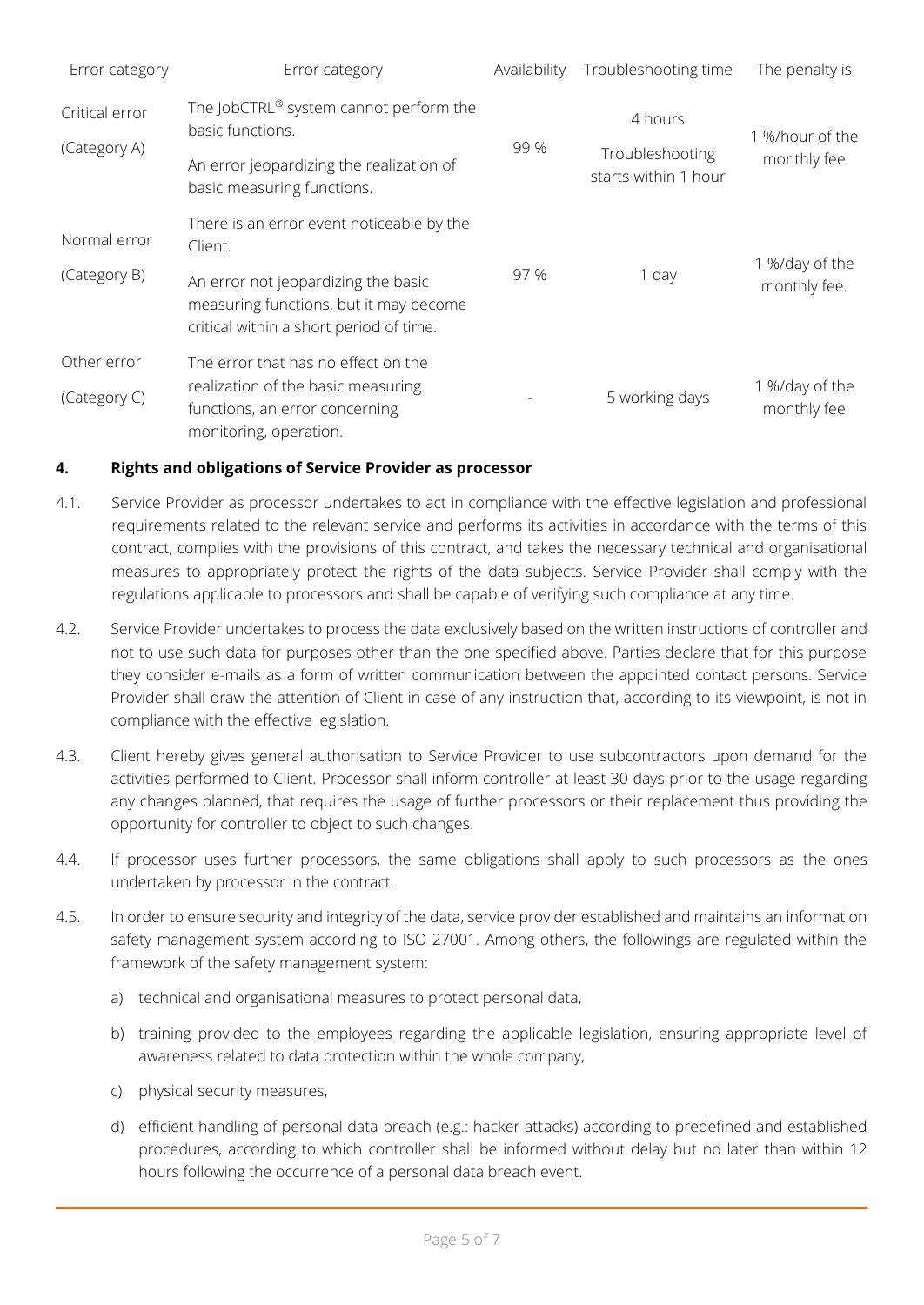| Error category | Error category                                                                                                           | Availability | Troubleshooting time                    | The penalty is                 |
|----------------|--------------------------------------------------------------------------------------------------------------------------|--------------|-----------------------------------------|--------------------------------|
| Critical error | The JobCTRL® system cannot perform the<br>basic functions.                                                               | 99 %         | 4 hours                                 | 1 %/hour of the<br>monthly fee |
| (Category A)   | An error jeopardizing the realization of<br>basic measuring functions.                                                   |              | Troubleshooting<br>starts within 1 hour |                                |
| Normal error   | There is an error event noticeable by the<br>Client.                                                                     |              |                                         |                                |
| (Category B)   | An error not jeopardizing the basic<br>measuring functions, but it may become<br>critical within a short period of time. | 97 %         | 1 day                                   | 1 %/day of the<br>monthly fee. |
| Other error    | The error that has no effect on the                                                                                      |              |                                         |                                |
| (Category C)   | realization of the basic measuring<br>functions, an error concerning<br>monitoring, operation.                           |              | 5 working days                          | 1 %/day of the<br>monthly fee  |

# **4. Rights and obligations of Service Provider as processor**

- 4.1. Service Provider as processor undertakes to act in compliance with the effective legislation and professional requirements related to the relevant service and performs its activities in accordance with the terms of this contract, complies with the provisions of this contract, and takes the necessary technical and organisational measures to appropriately protect the rights of the data subjects. Service Provider shall comply with the regulations applicable to processors and shall be capable of verifying such compliance at any time.
- 4.2. Service Provider undertakes to process the data exclusively based on the written instructions of controller and not to use such data for purposes other than the one specified above. Parties declare that for this purpose they consider e-mails as a form of written communication between the appointed contact persons. Service Provider shall draw the attention of Client in case of any instruction that, according to its viewpoint, is not in compliance with the effective legislation.
- 4.3. Client hereby gives general authorisation to Service Provider to use subcontractors upon demand for the activities performed to Client. Processor shall inform controller at least 30 days prior to the usage regarding any changes planned, that requires the usage of further processors or their replacement thus providing the opportunity for controller to object to such changes.
- 4.4. If processor uses further processors, the same obligations shall apply to such processors as the ones undertaken by processor in the contract.
- 4.5. In order to ensure security and integrity of the data, service provider established and maintains an information safety management system according to ISO 27001. Among others, the followings are regulated within the framework of the safety management system:
	- a) technical and organisational measures to protect personal data,
	- b) training provided to the employees regarding the applicable legislation, ensuring appropriate level of awareness related to data protection within the whole company,
	- c) physical security measures,
	- d) efficient handling of personal data breach (e.g.: hacker attacks) according to predefined and established procedures, according to which controller shall be informed without delay but no later than within 12 hours following the occurrence of a personal data breach event.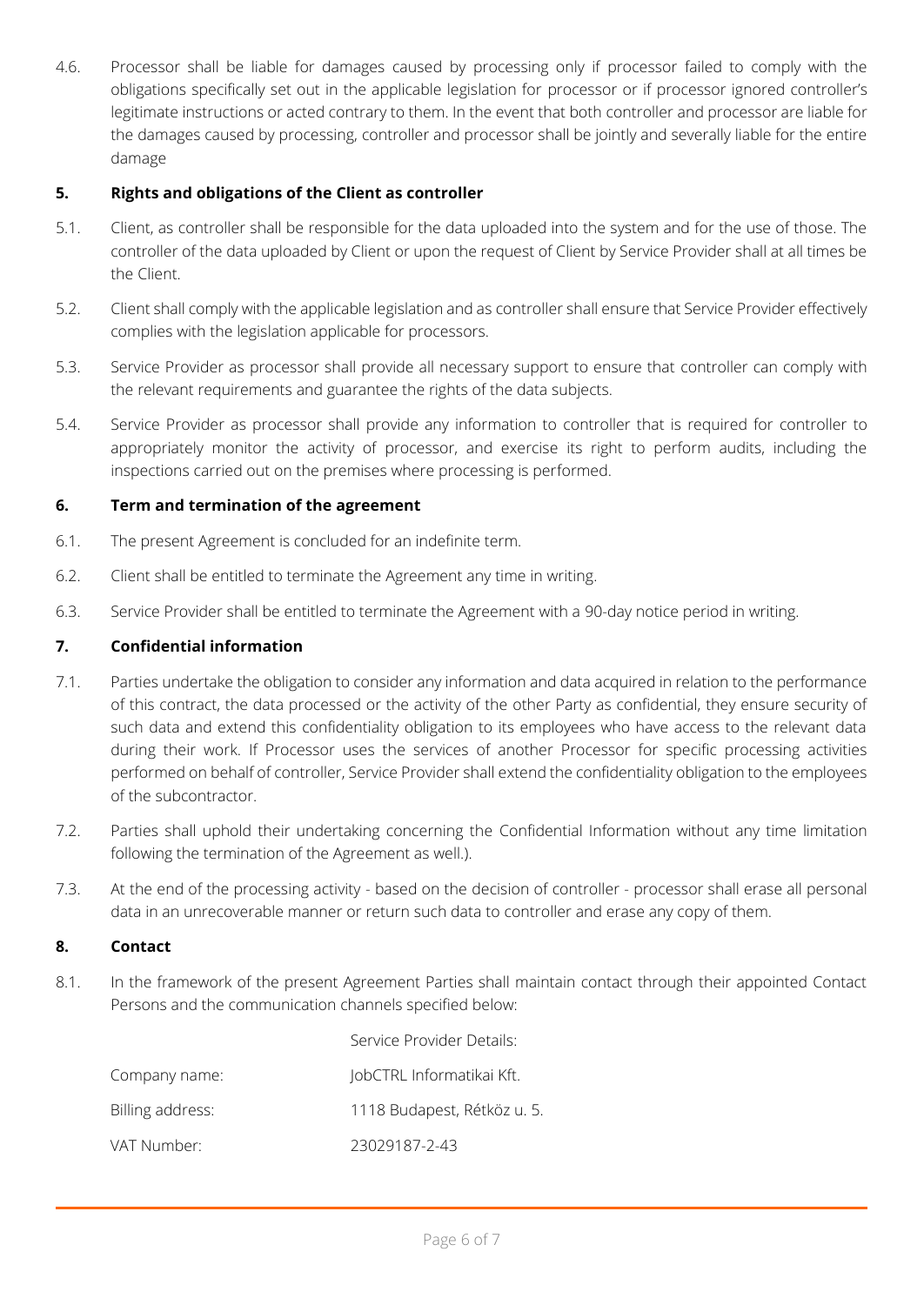4.6. Processor shall be liable for damages caused by processing only if processor failed to comply with the obligations specifically set out in the applicable legislation for processor or if processor ignored controller's legitimate instructions or acted contrary to them. In the event that both controller and processor are liable for the damages caused by processing, controller and processor shall be jointly and severally liable for the entire damage

# **5. Rights and obligations of the Client as controller**

- 5.1. Client, as controller shall be responsible for the data uploaded into the system and for the use of those. The controller of the data uploaded by Client or upon the request of Client by Service Provider shall at all times be the Client.
- 5.2. Client shall comply with the applicable legislation and as controller shall ensure that Service Provider effectively complies with the legislation applicable for processors.
- 5.3. Service Provider as processor shall provide all necessary support to ensure that controller can comply with the relevant requirements and guarantee the rights of the data subjects.
- 5.4. Service Provider as processor shall provide any information to controller that is required for controller to appropriately monitor the activity of processor, and exercise its right to perform audits, including the inspections carried out on the premises where processing is performed.

# **6. Term and termination of the agreement**

- 6.1. The present Agreement is concluded for an indefinite term.
- 6.2. Client shall be entitled to terminate the Agreement any time in writing.
- 6.3. Service Provider shall be entitled to terminate the Agreement with a 90-day notice period in writing.

# **7. Confidential information**

- 7.1. Parties undertake the obligation to consider any information and data acquired in relation to the performance of this contract, the data processed or the activity of the other Party as confidential, they ensure security of such data and extend this confidentiality obligation to its employees who have access to the relevant data during their work. If Processor uses the services of another Processor for specific processing activities performed on behalf of controller, Service Provider shall extend the confidentiality obligation to the employees of the subcontractor.
- 7.2. Parties shall uphold their undertaking concerning the Confidential Information without any time limitation following the termination of the Agreement as well.).
- 7.3. At the end of the processing activity based on the decision of controller processor shall erase all personal data in an unrecoverable manner or return such data to controller and erase any copy of them.

# **8. Contact**

8.1. In the framework of the present Agreement Parties shall maintain contact through their appointed Contact Persons and the communication channels specified below:

Service Provider Details:

|                  | Service Provider Details:   |
|------------------|-----------------------------|
| Company name:    | JobCTRL Informatikai Kft.   |
| Billing address: | 1118 Budapest, Rétköz u. 5. |
| VAT Number:      | 23029187-2-43               |